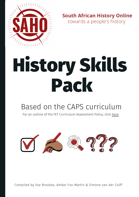

**South African History Online** towards a people's history

# History Skills Pack

### Based on the CAPS curriculum

For an outline of the FET Curriculum Assessment Policy, click [here](https://www.sahistory.org.za/archive/caps-grades-10-12-history).



Compiled by Ilse Brookes, Amber Fox-Martin & Simone van der Colff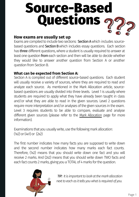#### **How exams are usually set up**

Exams are compiled to include two sections: Section A which includes sourcebased questions and Section B which includes essay questions. Each section has **three** different questions, where a student is usually required to answer at least one question from each section and then will be able to decide whether they would like to answer another question from Section A or another question from Section B.

#### **What can be expected from Section A:**

Section A is compiled out of different source-based questions. Each student will usually receive a variety of sources, where they are required to read and analyze each source. As mentioned in the Mark Allocation article, sourcebased questions are usually divided into three levels. Level 1 is usually where students are required to apply what they have already been taught in class and/or what they are able to read in the given sources. Level 2 questions require more interpretation and/or analyses of the given sources in the exam. Level 3 requires students to be able to compare, evaluate and analyse different given sources (please refer to the Mark [Allocation](https://www.sahistory.org.za/archive/article-1-mark-allocation-and-history-skills) page for more information).

Examinations that you usually write, use the following mark allocation:  $(1x2)$  or  $(4x1)$  or  $(2x2)$ 

The first number indicates how many facts you are supposed to write down and the second number indicates how many marks each fact counts. Therefore, (1x2) means that you should write down one fact and you will receive 2 marks. And (2x2) means that you should write down TWO facts and each fact counts 2 marks, giving you a TOTAL of 4 marks for the question.



*TIP: It is important to look at the mark allocation next to each as it tells you what is required of you.*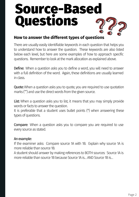#### **How to answer the different types of questions**

There are usually easily identifiable keywords in each question that helps you to understand how to answer the question. These keywords are also listed below each level, but here are some examples of how to approach specific questions. Remember to look at the mark allocation as explained above.

Define: When a question asks you to define a word, you will need to answer with a full definition of the word. Again, these definitions are usually learned inclass.

Quote: When a question asks you to quote, you are required to use quotation marks ("") and use the direct words from the given source.

List: When a question asks you to list, it means that you may simply provide words or facts to answer the question.

It is preferable that a student uses bullet points (\*) when answering these types of questions.

**Compare:** When a question asks you to compare you are required to use every source as stated.

#### An example:

If the examiner asks: Compare source 1A with 1B. Explain why source 1A is more reliable than source 1B.

A student should answer by making references to BOTH sources: Source 1A is more reliable than source 1B because Source 1A is... AND Source 1B is...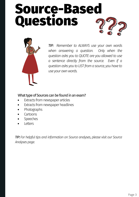

*TIP: Remember to ALWAYS use your own words when answering a question. Only when the question asks you to QUOTE are you allowed to use a sentence directly from the source. Even if a questionasks youtoLIST froma source, youhave to use* your own words.

#### What type of Sources can be found in an exam?

- Extracts from newspaper articles
- Extracts from newspaper headlines  $\bullet$
- Photographs  $\bullet$
- **Cartoons**
- Speeches
- Letters

*TIP:For helpful tips and information on Source analyses, please visit our Source* Analyses page.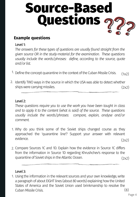#### **Example questions**

#### Level 1:

*The answers for these types of questions are usually found straight from the given source OR in the study-material for the examination. These questions usually include the words/phrases: define, according to the source, quote and/orlist.*

- <sup>1.</sup> Define the concept quarantine in the context of the Cuban Missile Crisis.  $(1x2)$
- 2. Identify TWO ways in the source in which the USA was able to detect whether ships were carrying missiles. (2x2)

#### Level 2:

*These questions require you to use the work you have been taught in class and to apply it to the content (what is said) of the source. These questions usually include the words/phrases: compare, explain, analyse and/or comment.*

- Why do you think some of the Soviet ships changed course as they 1. approached the 'quarantine line'? Support your answer with relevant evidence. (2x2)
- 2. Compare Sources 1C and 1D. Explain how the evidence in Source 1C differs from the information in Source 1D regarding Khrushchev's response to the quarantine of Soviet ships in the Atlantic Ocean. (2x2)

#### Level 3:

1. Using the information in the relevant sources and your own knowledge, write a paragraph of about EIGHT lines (about 80 words) explaining how the United States of America and the Soviet Union used brinkmanship to resolve the CubanMissile Crisis. (8)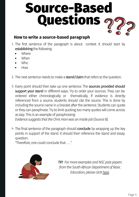#### **How to write a source-based paragraph**

- 1. The first sentence of the paragraph is about context. It should start by establishing the following:
	- Where
	- When
	- Who
	- How
- 2. The next sentence needs to make a **stand/claim** that refers to the question.
- 3. Every point should then take up one sentence. The **sources provided should** support your stand in different ways. Try to order your sources. They can be ordered either chronologically or thematically. If evidence is directly referenced from a source, students should cite the source. This is done by including the source name in a bracket after the sentence. Students can quote or they can paraphrase. Try to limit quoting; too many quotes will come across as lazy. This is an example of paraphrasing: *Evidence suggests that the Chris Hani was an inside job (Source B).*
- 4. The final sentence of the paragraph should conclude by wrapping up the key points in support of the stand. It should then reference the stand and essay question.

"Therefore, one could conclude that...."



*TIP:* For more examples and NSC past papers *from the South African Department of Basic Education,please click[here.](https://www.education.gov.za/Curriculum/NationalSeniorCertificate(NSC)Examinations/tabid/338/Default.aspx)*